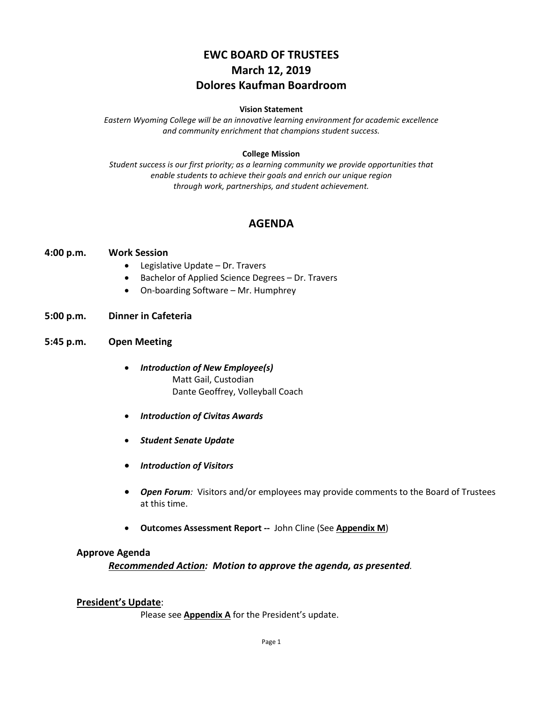# **EWC BOARD OF TRUSTEES March 12, 2019 Dolores Kaufman Boardroom**

#### **Vision Statement**

*Eastern Wyoming College will be an innovative learning environment for academic excellence and community enrichment that champions student success.*

#### **College Mission**

*Student success is our first priority; as a learning community we provide opportunities that enable students to achieve their goals and enrich our unique region through work, partnerships, and student achievement.*

## **AGENDA**

#### **4:00 p.m. Work Session**

- Legislative Update Dr. Travers
- Bachelor of Applied Science Degrees Dr. Travers
- On-boarding Software Mr. Humphrey

#### **5:00 p.m. Dinner in Cafeteria**

#### **5:45 p.m. Open Meeting**

- *Introduction of New Employee(s)* Matt Gail, Custodian Dante Geoffrey, Volleyball Coach
- *Introduction of Civitas Awards*
- *Student Senate Update*
- *Introduction of Visitors*
- *Open Forum:* Visitors and/or employees may provide comments to the Board of Trustees at this time.
- **Outcomes Assessment Report --** John Cline (See **Appendix M**)

#### **Approve Agenda**

*Recommended Action: Motion to approve the agenda, as presented.*

#### **President's Update**:

Please see **Appendix A** for the President's update.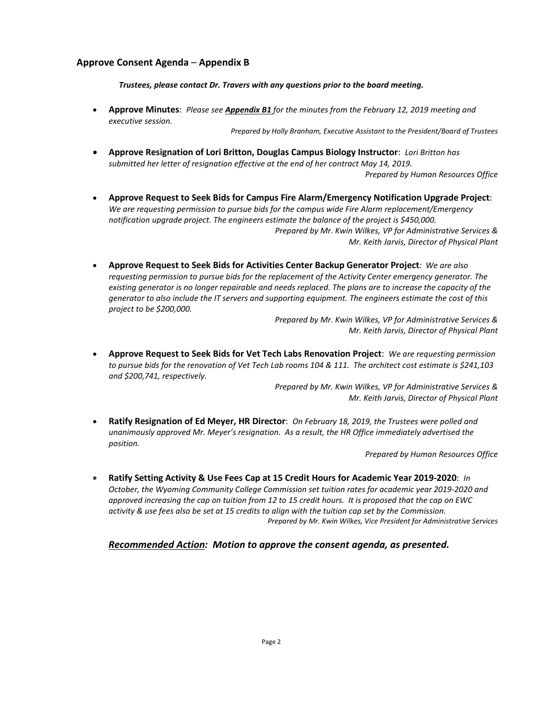### **Approve Consent Agenda** – **Appendix B**

*Trustees, please contact Dr. Travers with any questions prior to the board meeting.*

• **Approve Minutes**: *Please see Appendix B1 for the minutes from the February 12, 2019 meeting and executive session.*

*Prepared by Holly Branham, Executive Assistant to the President/Board of Trustees*

• **Approve Resignation of Lori Britton, Douglas Campus Biology Instructor**: *Lori Britton has submitted her letter of resignation effective at the end of her contract May 14, 2019.*

*Prepared by Human Resources Office*

- **Approve Request to Seek Bids for Campus Fire Alarm/Emergency Notification Upgrade Project**: *We are requesting permission to pursue bids for the campus wide Fire Alarm replacement/Emergency notification upgrade project. The engineers estimate the balance of the project is \$450,000. Prepared by Mr. Kwin Wilkes, VP for Administrative Services & Mr. Keith Jarvis, Director of Physical Plant*
- **Approve Request to Seek Bids for Activities Center Backup Generator Project***: We are also requesting permission to pursue bids for the replacement of the Activity Center emergency generator. The existing generator is no longer repairable and needs replaced. The plans are to increase the capacity of the generator to also include the IT servers and supporting equipment. The engineers estimate the cost of this project to be \$200,000.*

*Prepared by Mr. Kwin Wilkes, VP for Administrative Services & Mr. Keith Jarvis, Director of Physical Plant*

• **Approve Request to Seek Bids for Vet Tech Labs Renovation Project**: *We are requesting permission to pursue bids for the renovation of Vet Tech Lab rooms 104 & 111. The architect cost estimate is \$241,103 and \$200,741, respectively.*

> *Prepared by Mr. Kwin Wilkes, VP for Administrative Services & Mr. Keith Jarvis, Director of Physical Plant*

• **Ratify Resignation of Ed Meyer, HR Director**: *On February 18, 2019, the Trustees were polled and unanimously approved Mr. Meyer's resignation. As a result, the HR Office immediately advertised the position.*

*Prepared by Human Resources Office*

• **Ratify Setting Activity & Use Fees Cap at 15 Credit Hours for Academic Year 2019-2020**: *In October, the Wyoming Community College Commission set tuition rates for academic year 2019-2020 and approved increasing the cap on tuition from 12 to 15 credit hours. It is proposed that the cap on EWC activity & use fees also be set at 15 credits to align with the tuition cap set by the Commission. Prepared by Mr. Kwin Wilkes, Vice President for Administrative Services*

*Recommended Action: Motion to approve the consent agenda, as presented.*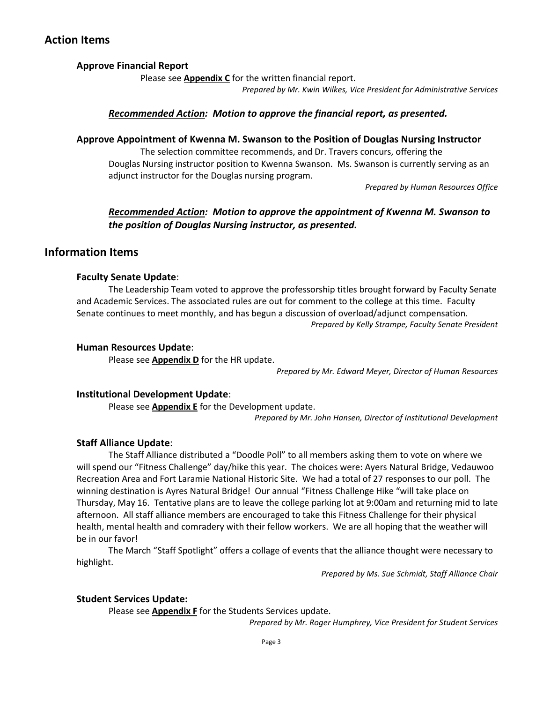## **Action Items**

## **Approve Financial Report**

Please see **Appendix C** for the written financial report.

*Prepared by Mr. Kwin Wilkes, Vice President for Administrative Services*

### *Recommended Action: Motion to approve the financial report, as presented.*

#### **Approve Appointment of Kwenna M. Swanson to the Position of Douglas Nursing Instructor**

The selection committee recommends, and Dr. Travers concurs, offering the Douglas Nursing instructor position to Kwenna Swanson. Ms. Swanson is currently serving as an adjunct instructor for the Douglas nursing program.

*Prepared by Human Resources Office*

## *Recommended Action: Motion to approve the appointment of Kwenna M. Swanson to the position of Douglas Nursing instructor, as presented.*

## **Information Items**

#### **Faculty Senate Update**:

The Leadership Team voted to approve the professorship titles brought forward by Faculty Senate and Academic Services. The associated rules are out for comment to the college at this time. Faculty Senate continues to meet monthly, and has begun a discussion of overload/adjunct compensation. *Prepared by Kelly Strampe, Faculty Senate President*

#### **Human Resources Update**:

Please see **Appendix D** for the HR update.

*Prepared by Mr. Edward Meyer, Director of Human Resources*

#### **Institutional Development Update**:

Please see **Appendix E** for the Development update.

*Prepared by Mr. John Hansen, Director of Institutional Development*

### **Staff Alliance Update**:

The Staff Alliance distributed a "Doodle Poll" to all members asking them to vote on where we will spend our "Fitness Challenge" day/hike this year. The choices were: Ayers Natural Bridge, Vedauwoo Recreation Area and Fort Laramie National Historic Site. We had a total of 27 responses to our poll. The winning destination is Ayres Natural Bridge! Our annual "Fitness Challenge Hike "will take place on Thursday, May 16. Tentative plans are to leave the college parking lot at 9:00am and returning mid to late afternoon. All staff alliance members are encouraged to take this Fitness Challenge for their physical health, mental health and comradery with their fellow workers. We are all hoping that the weather will be in our favor!

The March "Staff Spotlight" offers a collage of events that the alliance thought were necessary to highlight.

*Prepared by Ms. Sue Schmidt, Staff Alliance Chair*

#### **Student Services Update:**

Please see **Appendix F** for the Students Services update.

*Prepared by Mr. Roger Humphrey, Vice President for Student Services*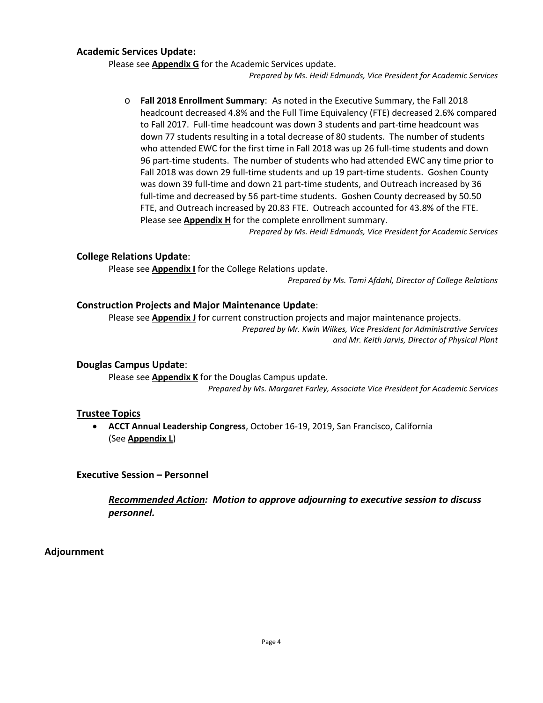### **Academic Services Update:**

Please see **Appendix G** for the Academic Services update.

*Prepared by Ms. Heidi Edmunds, Vice President for Academic Services*

o **Fall 2018 Enrollment Summary**: As noted in the Executive Summary, the Fall 2018 headcount decreased 4.8% and the Full Time Equivalency (FTE) decreased 2.6% compared to Fall 2017. Full-time headcount was down 3 students and part-time headcount was down 77 students resulting in a total decrease of 80 students. The number of students who attended EWC for the first time in Fall 2018 was up 26 full-time students and down 96 part-time students. The number of students who had attended EWC any time prior to Fall 2018 was down 29 full-time students and up 19 part-time students. Goshen County was down 39 full-time and down 21 part-time students, and Outreach increased by 36 full-time and decreased by 56 part-time students. Goshen County decreased by 50.50 FTE, and Outreach increased by 20.83 FTE. Outreach accounted for 43.8% of the FTE. Please see **Appendix H** for the complete enrollment summary.

*Prepared by Ms. Heidi Edmunds, Vice President for Academic Services*

### **College Relations Update**:

Please see **Appendix I** for the College Relations update.

*Prepared by Ms. Tami Afdahl, Director of College Relations*

#### **Construction Projects and Major Maintenance Update**:

Please see **Appendix J** for current construction projects and major maintenance projects.

*Prepared by Mr. Kwin Wilkes, Vice President for Administrative Services and Mr. Keith Jarvis, Director of Physical Plant*

#### **Douglas Campus Update**:

Please see **Appendix K** for the Douglas Campus update. *Prepared by Ms. Margaret Farley, Associate Vice President for Academic Services*

#### **Trustee Topics**

• **ACCT Annual Leadership Congress**, October 16-19, 2019, San Francisco, California (See **Appendix L**)

#### **Executive Session – Personnel**

*Recommended Action: Motion to approve adjourning to executive session to discuss personnel.*

### **Adjournment**